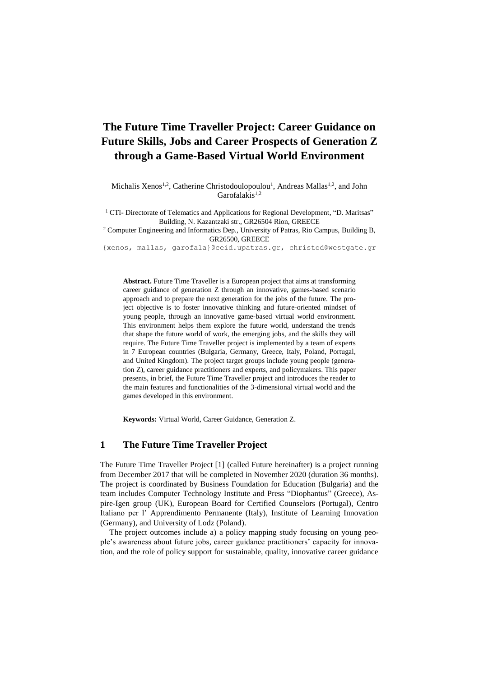# **The Future Time Traveller Project: Career Guidance on Future Skills, Jobs and Career Prospects of Generation Z through a Game-Based Virtual World Environment**

Michalis Xenos<sup>1,2</sup>, Catherine Christodoulopoulou<sup>1</sup>, Andreas Mallas<sup>1,2</sup>, and John  $Garcfalakis^{1,2}$ 

<sup>1</sup> CTI- Directorate of Telematics and Applications for Regional Development, "D. Maritsas" Building, N. Kazantzaki str., GR26504 Rion, GREECE

<sup>2</sup> Computer Engineering and Informatics Dep., University of Patras, Rio Campus, Building B, GR26500, GREECE

[{xenos, mallas, garofala}@ceid.upatras.gr,](mailto:xenos,%20mallas,%20garofala%7d@ceid.upatras.gr) [christod@westgate.gr](mailto:christod@westgate.gr)

**Abstract.** Future Time Traveller is a European project that aims at transforming career guidance of generation Z through an innovative, games-based scenario approach and to prepare the next generation for the jobs of the future. The project objective is to foster innovative thinking and future-oriented mindset of young people, through an innovative game-based virtual world environment. This environment helps them explore the future world, understand the trends that shape the future world of work, the emerging jobs, and the skills they will require. The Future Time Traveller project is implemented by a team of experts in 7 European countries (Bulgaria, Germany, Greece, Italy, Poland, Portugal, and United Kingdom). The project target groups include young people (generation Z), career guidance practitioners and experts, and policymakers. This paper presents, in brief, the Future Time Traveller project and introduces the reader to the main features and functionalities of the 3-dimensional virtual world and the games developed in this environment.

**Keywords:** Virtual World, Career Guidance, Generation Z.

### **1 The Future Time Traveller Project**

The Future Time Traveller Project [1] (called Future hereinafter) is a project running from December 2017 that will be completed in November 2020 (duration 36 months). The project is coordinated by Business Foundation for Education (Bulgaria) and the team includes Computer Technology Institute and Press "Diophantus" (Greece), Aspire-Igen group (UK), European Board for Certified Counselors (Portugal), Centro Italiano per l' Apprendimento Permanente (Italy), Institute of Learning Innovation (Germany), and University of Lodz (Poland).

The project outcomes include a) a policy mapping study focusing on young people's awareness about future jobs, career guidance practitioners' capacity for innovation, and the role of policy support for sustainable, quality, innovative career guidance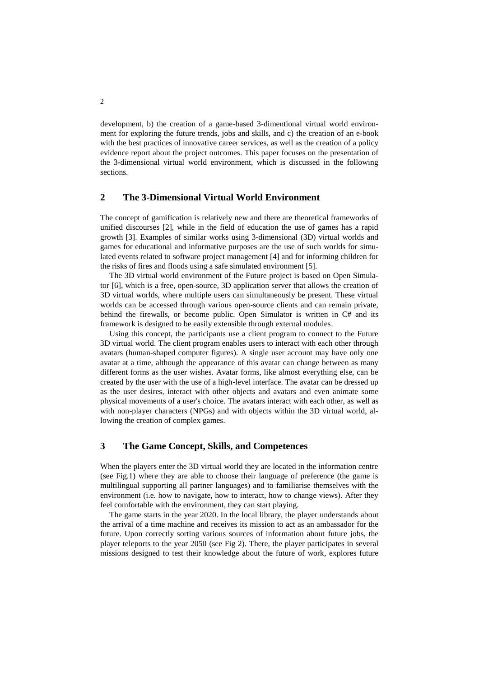development, b) the creation of a game-based 3-dimentional virtual world environment for exploring the future trends, jobs and skills, and c) the creation of an e-book with the best practices of innovative career services, as well as the creation of a policy evidence report about the project outcomes. This paper focuses on the presentation of the 3-dimensional virtual world environment, which is discussed in the following sections.

# **2 The 3-Dimensional Virtual World Environment**

The concept of gamification is relatively new and there are theoretical frameworks of unified discourses [2], while in the field of education the use of games has a rapid growth [3]. Examples of similar works using 3-dimensional (3D) virtual worlds and games for educational and informative purposes are the use of such worlds for simulated events related to software project management [4] and for informing children for the risks of fires and floods using a safe simulated environment [5].

The 3D virtual world environment of the Future project is based on Open Simulator [6], which is a free, open-source, 3D application server that allows the creation of 3D virtual worlds, where multiple users can simultaneously be present. These virtual worlds can be accessed through various open-source clients and can remain private, behind the firewalls, or become public. Open Simulator is written in C# and its framework is designed to be easily extensible through external modules.

Using this concept, the participants use a client program to connect to the Future 3D virtual world. The client program enables users to interact with each other through avatars (human-shaped computer figures). A single user account may have only one avatar at a time, although the appearance of this avatar can change between as many different forms as the user wishes. Avatar forms, like almost everything else, can be created by the user with the use of a high-level interface. The avatar can be dressed up as the user desires, interact with other objects and avatars and even animate some physical movements of a user's choice. The avatars interact with each other, as well as with non-player characters (NPGs) and with objects within the 3D virtual world, allowing the creation of complex games.

## **3 The Game Concept, Skills, and Competences**

When the players enter the 3D virtual world they are located in the information centre (see Fig.1) where they are able to choose their language of preference (the game is multilingual supporting all partner languages) and to familiarise themselves with the environment (i.e. how to navigate, how to interact, how to change views). After they feel comfortable with the environment, they can start playing.

The game starts in the year 2020. In the local library, the player understands about the arrival of a time machine and receives its mission to act as an ambassador for the future. Upon correctly sorting various sources of information about future jobs, the player teleports to the year 2050 (see Fig 2). There, the player participates in several missions designed to test their knowledge about the future of work, explores future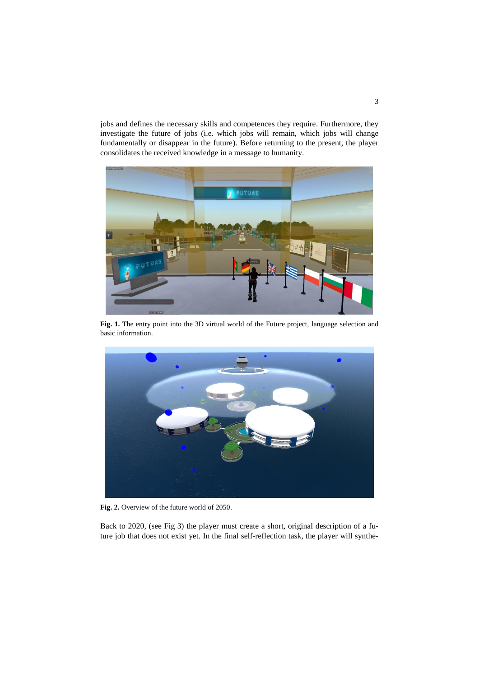jobs and defines the necessary skills and competences they require. Furthermore, they investigate the future of jobs (i.e. which jobs will remain, which jobs will change fundamentally or disappear in the future). Before returning to the present, the player consolidates the received knowledge in a message to humanity.



**Fig. 1.** The entry point into the 3D virtual world of the Future project, language selection and basic information.



**Fig. 2.** Overview of the future world of 2050.

Back to 2020, (see Fig 3) the player must create a short, original description of a future job that does not exist yet. In the final self-reflection task, the player will synthe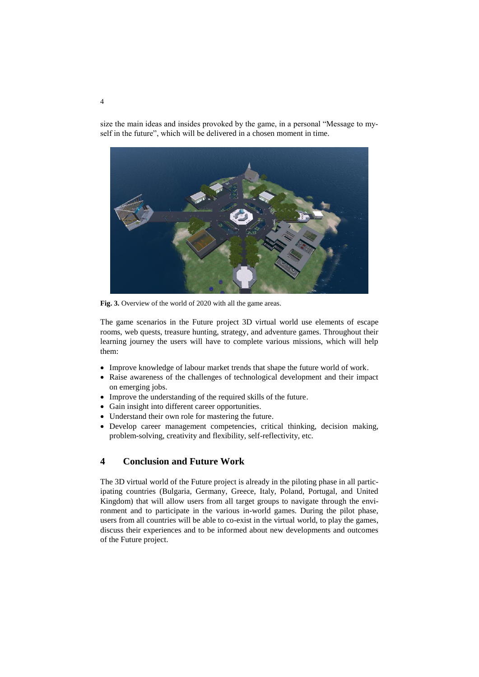size the main ideas and insides provoked by the game, in a personal "Message to myself in the future", which will be delivered in a chosen moment in time.



**Fig. 3.** Overview of the world of 2020 with all the game areas.

The game scenarios in the Future project 3D virtual world use elements of escape rooms, web quests, treasure hunting, strategy, and adventure games. Throughout their learning journey the users will have to complete various missions, which will help them:

- Improve knowledge of labour market trends that shape the future world of work.
- Raise awareness of the challenges of technological development and their impact on emerging jobs.
- Improve the understanding of the required skills of the future.
- Gain insight into different career opportunities.
- Understand their own role for mastering the future.
- Develop career management competencies, critical thinking, decision making, problem-solving, creativity and flexibility, self-reflectivity, etc.

# **4 Conclusion and Future Work**

The 3D virtual world of the Future project is already in the piloting phase in all participating countries (Bulgaria, Germany, Greece, Italy, Poland, Portugal, and United Kingdom) that will allow users from all target groups to navigate through the environment and to participate in the various in-world games. During the pilot phase, users from all countries will be able to co-exist in the virtual world, to play the games, discuss their experiences and to be informed about new developments and outcomes of the Future project.